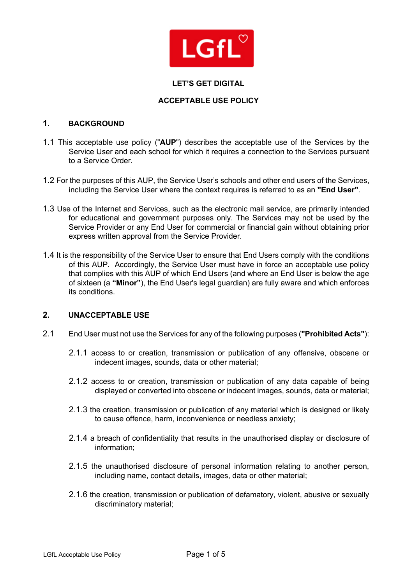

### **LET'S GET DIGITAL**

### **ACCEPTABLE USE POLICY**

#### **1. BACKGROUND**

- 1.1 This acceptable use policy ("**AUP**") describes the acceptable use of the Services by the Service User and each school for which it requires a connection to the Services pursuant to a Service Order.
- 1.2 For the purposes of this AUP, the Service User's schools and other end users of the Services, including the Service User where the context requires is referred to as an **"End User"**.
- 1.3 Use of the Internet and Services, such as the electronic mail service, are primarily intended for educational and government purposes only. The Services may not be used by the Service Provider or any End User for commercial or financial gain without obtaining prior express written approval from the Service Provider.
- 1.4 It is the responsibility of the Service User to ensure that End Users comply with the conditions of this AUP. Accordingly, the Service User must have in force an acceptable use policy that complies with this AUP of which End Users (and where an End User is below the age of sixteen (a **"Minor"**), the End User's legal guardian) are fully aware and which enforces its conditions.

# **2. UNACCEPTABLE USE**

- 2.1 End User must not use the Services for any of the following purposes (**"Prohibited Acts"**):
	- 2.1.1 access to or creation, transmission or publication of any offensive, obscene or indecent images, sounds, data or other material;
	- 2.1.2 access to or creation, transmission or publication of any data capable of being displayed or converted into obscene or indecent images, sounds, data or material;
	- 2.1.3 the creation, transmission or publication of any material which is designed or likely to cause offence, harm, inconvenience or needless anxiety;
	- 2.1.4 a breach of confidentiality that results in the unauthorised display or disclosure of information;
	- 2.1.5 the unauthorised disclosure of personal information relating to another person, including name, contact details, images, data or other material;
	- 2.1.6 the creation, transmission or publication of defamatory, violent, abusive or sexually discriminatory material;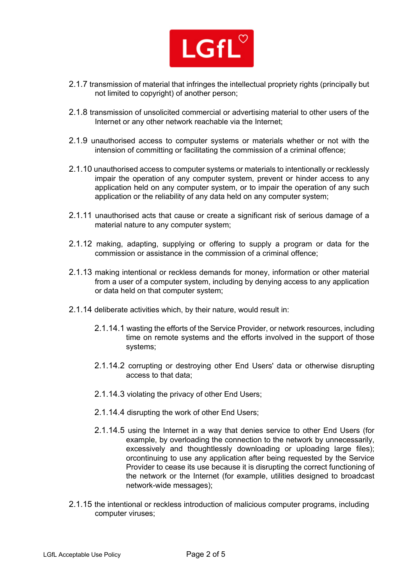

- 2.1.7 transmission of material that infringes the intellectual propriety rights (principally but not limited to copyright) of another person;
- 2.1.8 transmission of unsolicited commercial or advertising material to other users of the Internet or any other network reachable via the Internet;
- 2.1.9 unauthorised access to computer systems or materials whether or not with the intension of committing or facilitating the commission of a criminal offence;
- 2.1.10 unauthorised access to computer systems or materials to intentionally or recklessly impair the operation of any computer system, prevent or hinder access to any application held on any computer system, or to impair the operation of any such application or the reliability of any data held on any computer system;
- 2.1.11 unauthorised acts that cause or create a significant risk of serious damage of a material nature to any computer system;
- 2.1.12 making, adapting, supplying or offering to supply a program or data for the commission or assistance in the commission of a criminal offence;
- 2.1.13 making intentional or reckless demands for money, information or other material from a user of a computer system, including by denying access to any application or data held on that computer system;
- 2.1.14 deliberate activities which, by their nature, would result in:
	- 2.1.14.1 wasting the efforts of the Service Provider, or network resources, including time on remote systems and the efforts involved in the support of those systems;
	- 2.1.14.2 corrupting or destroying other End Users' data or otherwise disrupting access to that data;
	- 2.1.14.3 violating the privacy of other End Users;
	- 2.1.14.4 disrupting the work of other End Users;
	- 2.1.14.5 using the Internet in a way that denies service to other End Users (for example, by overloading the connection to the network by unnecessarily, excessively and thoughtlessly downloading or uploading large files); orcontinuing to use any application after being requested by the Service Provider to cease its use because it is disrupting the correct functioning of the network or the Internet (for example, utilities designed to broadcast network-wide messages);
- 2.1.15 the intentional or reckless introduction of malicious computer programs, including computer viruses;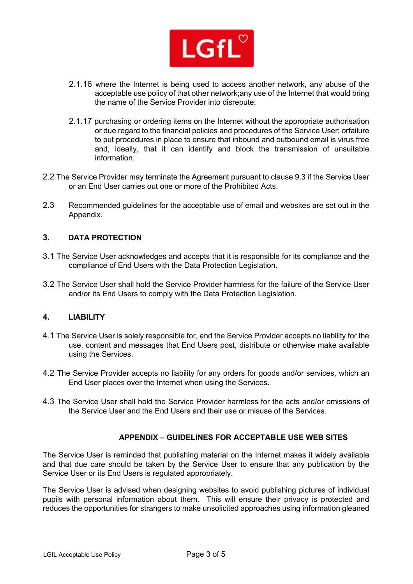

- 2.1.16 where the Internet is being used to access another network, any abuse of the acceptable use policy of that other network;any use of the Internet that would bring the name of the Service Provider into disrepute;
- 2.1.17 purchasing or ordering items on the Internet without the appropriate authorisation or due regard to the financial policies and procedures of the Service User; orfailure to put procedures in place to ensure that inbound and outbound email is virus free and, ideally, that it can identify and block the transmission of unsuitable information.
- 2.2 The Service Provider may terminate the Agreement pursuant to clause 9.3 if the Service User or an End User carries out one or more of the Prohibited Acts.
- 2.3 Recommended guidelines for the acceptable use of email and websites are set out in the Appendix.

# **3. DATA PROTECTION**

- 3.1 The Service User acknowledges and accepts that it is responsible for its compliance and the compliance of End Users with the Data Protection Legislation.
- 3.2 The Service User shall hold the Service Provider harmless for the failure of the Service User and/or its End Users to comply with the Data Protection Legislation.

# **4. LIABILITY**

- 4.1 The Service User is solely responsible for, and the Service Provider accepts no liability for the use, content and messages that End Users post, distribute or otherwise make available using the Services.
- 4.2 The Service Provider accepts no liability for any orders for goods and/or services, which an End User places over the Internet when using the Services.
- 4.3 The Service User shall hold the Service Provider harmless for the acts and/or omissions of the Service User and the End Users and their use or misuse of the Services.

### **APPENDIX – GUIDELINES FOR ACCEPTABLE USE WEB SITES**

The Service User is reminded that publishing material on the Internet makes it widely available and that due care should be taken by the Service User to ensure that any publication by the Service User or its End Users is regulated appropriately.

The Service User is advised when designing websites to avoid publishing pictures of individual pupils with personal information about them. This will ensure their privacy is protected and reduces the opportunities for strangers to make unsolicited approaches using information gleaned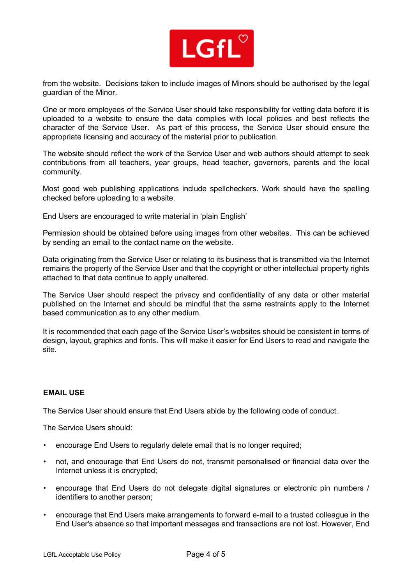

from the website. Decisions taken to include images of Minors should be authorised by the legal guardian of the Minor.

One or more employees of the Service User should take responsibility for vetting data before it is uploaded to a website to ensure the data complies with local policies and best reflects the character of the Service User. As part of this process, the Service User should ensure the appropriate licensing and accuracy of the material prior to publication.

The website should reflect the work of the Service User and web authors should attempt to seek contributions from all teachers, year groups, head teacher, governors, parents and the local community.

Most good web publishing applications include spellcheckers. Work should have the spelling checked before uploading to a website.

End Users are encouraged to write material in 'plain English'

Permission should be obtained before using images from other websites. This can be achieved by sending an email to the contact name on the website.

Data originating from the Service User or relating to its business that is transmitted via the Internet remains the property of the Service User and that the copyright or other intellectual property rights attached to that data continue to apply unaltered.

The Service User should respect the privacy and confidentiality of any data or other material published on the Internet and should be mindful that the same restraints apply to the Internet based communication as to any other medium.

It is recommended that each page of the Service User's websites should be consistent in terms of design, layout, graphics and fonts. This will make it easier for End Users to read and navigate the site.

#### **EMAIL USE**

The Service User should ensure that End Users abide by the following code of conduct.

The Service Users should:

- encourage End Users to regularly delete email that is no longer required;
- not, and encourage that End Users do not, transmit personalised or financial data over the Internet unless it is encrypted;
- encourage that End Users do not delegate digital signatures or electronic pin numbers / identifiers to another person;
- encourage that End Users make arrangements to forward e-mail to a trusted colleague in the End User's absence so that important messages and transactions are not lost. However, End